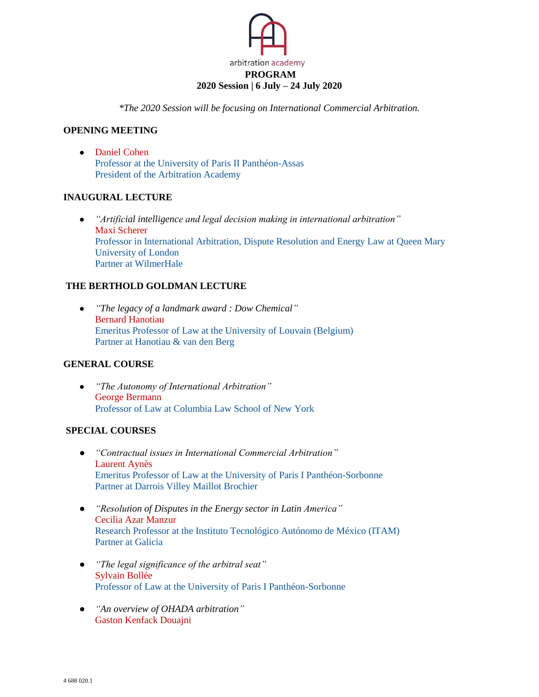

*\*The 2020 Session will be focusing on International Commercial Arbitration.* 

### **OPENING MEETING**

● [Daniel Cohen](http://www.iaiparis.com/profile/daniel.cohen)  Professor at the University of Paris II Panthéon-Assas President of the Arbitration Academy

#### **INAUGURAL LECTURE**

● *"Artificial intelligence and legal decision making in international arbitration"* [Maxi Scherer](http://www.iaiparis.com/profile/maxi.scherer) Professor in International Arbitration, Dispute Resolution and Energy Law at Queen Mary University of London Partner at WilmerHale

## **THE BERTHOLD GOLDMAN LECTURE**

● *"The legacy of a landmark award : Dow Chemical"* [Bernard Hanotiau](http://www.iaiparis.com/profile/bernard.hanotiau) Emeritus Professor of Law at the University of Louvain (Belgium) Partner at Hanotiau & van den Berg

# **GENERAL COURSE**

● *"The Autonomy of International Arbitration"* [George Bermann](http://www.iaiparis.com/profile/george.bermann) Professor of Law at Columbia Law School of New York

## **SPECIAL COURSES**

- *"Contractual issues in International Commercial Arbitration"* [Laurent Aynès](http://www.iaiparis.com/profile/laurent.aynes) Emeritus Professor of Law at the University of Paris I Panthéon-Sorbonne Partner at Darrois Villey Maillot Brochier
- *"Resolution of Disputes in the Energy sector in Latin America"* [Cecilia Azar Manzur](https://globalarbitrationreview.com/author/profile/1013907/cecilia-azar) Research Professor at the Instituto Tecnológico Autónomo de México (ITAM) Partner at Galicia
- *"The legal significance of the arbitral seat"* [Sylvain Bollée](https://www.whitecase.com/people/sylvain-bollee) Professor of Law at the University of Paris I Panthéon-Sorbonne
- *"An overview of OHADA arbitration"* [Gaston Kenfack Douajni](http://www.iaiparis.com/profile/gaston.kenfack-douajni)